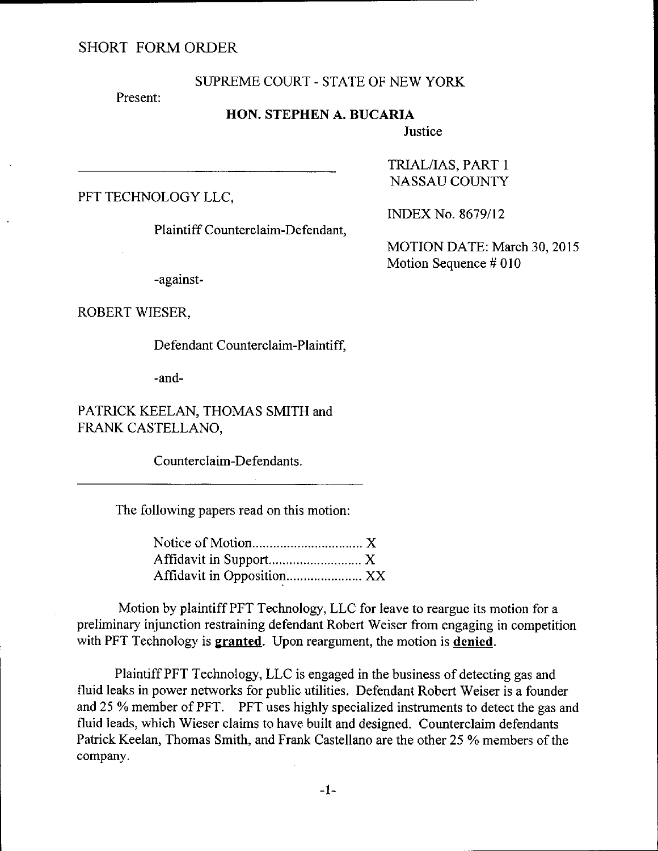#### SHORT FORM ORDER

#### SUPREME COURT - STATE OF NEW YORK

Present:

### HON. STEPHEN A. BUCARIA

**Justice** 

PFT TECHNOLOGY LLC,

Plaintiff Counterclaim-Defendant,

TRIAL/IAS, PART I NASSAU COUNTY

INDEX No. 8679/12

MOTION DATE: March 30,2015 Motion Sequence # 010

-against-

ROBERT WIESER,

Defendant Counterclaim-Plaintiff,

-and-

PATRICK KEELAN, THOMAS SMITH and FRANK CASTELLANO,

Counterclaim-Defendants.

The following papers read on this motion:

Notice of Motion................................ X Affidavit in Support............................. X Affidavit in Opposition....................... XX

Motion by plaintiff PFT Technology, LLC for leave to reargue its motion for <sup>a</sup> preliminary injunction restraining defendant Robert Weiser from engaging in competition with PFT Technology is **granted**. Upon reargument, the motion is **denied**.

Plaintiff PFT Technology, LLC is engaged in the business of detecting gas and fluid leaks in power networks for public utilities. Defendant Robert Weiser is a founder and 25 Vo member of PFT. PFT uses highly specialized instruments to detect the gas and fluid leads, which Wieser claims to have built and designed. Counterclaim defendants Patrick Keelan, Thomas Smith, and Frank Castellano are the other 25 % members of the company.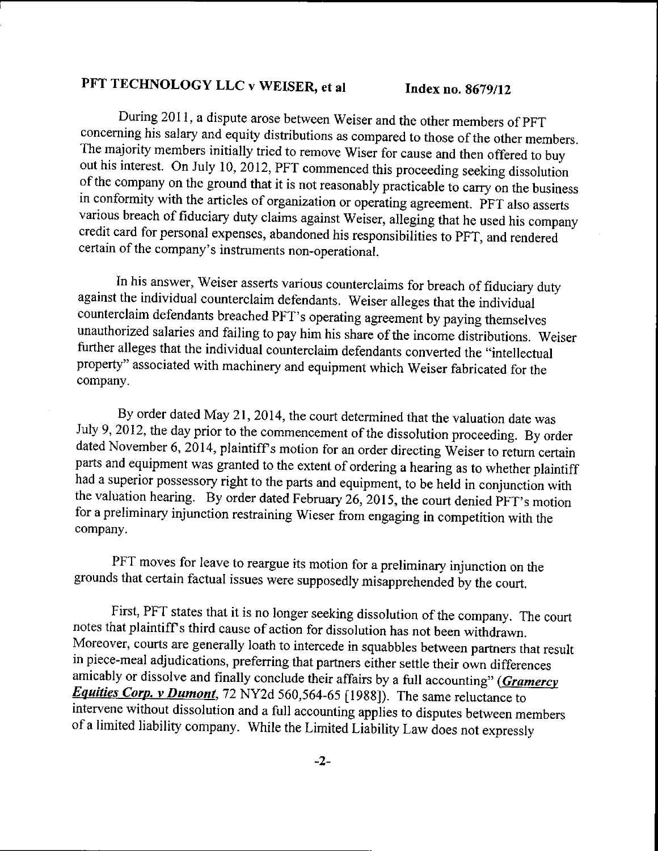# PFT TECHNOLOGY LLC v WEISER, et al Index no. 8679/12

During 2011, a dispute arose between weiser and the other members of pFT concerning his salary and equity distributions as compared to those of the other members. The majority members initially tried to remove Wiser for cause and then offered to buy out his interest. On July 10, 2012, PFT commenced this proceeding seeking dissolution of the company on the ground that it is not reasonably practicable to carry on the business in conformity with the articles of organization or operating agreement. PFT also asserts various breach of fiduciary duty claims against weiser, alleging that he used his company credit card for personal expenses, abandoned his responsibiiities to pFT, and rendered certain of the company's instruments non-operational.

In his answer, weiser asserts various counterclaims for breach of fiduciary duty against the individual counterclaim defendants. weiser alleges that the individual counterclaim defendants breached pFT's operating agreement by paying themselves unauthorized salaries and failing to pay him his share of the income distributions. weiser further alleges that the individual counterclaim defendants converted the "intellectual property" associated with machinery and equipment which weiser fabricated for the company.

By order dated May 21, 2014, the court determined that the valuation date was July 9, 2012, the day prior to the commencement of the dissolution proceeding. By order dated November 6, 2014, plaintiff's motion for an order directing Weiser to return certain parts and equipment was granted to the extent of ordering a hearing as to whelher plaintiff had a superior possessory right to the parts and equipment, to be held in conjunction with the valuation hearing. By order dated February 26, 2015, the court denied PFT's motion for a preliminary injunction restraining wieser from engaging in competition with the company.

PFT moves for leave to reargue its motion for a preliminary injunction on the grounds that certain factual issues were supposedly misapprehended by the court.

First, PFT states that it is no longer seeking dissolution of the company. The court notes that plaintiff's third cause of action for dissolution has not been withdrawn. Moreover, courts are generally loath to intercede in squabbles between partners that result in piece-meal adjudications, prefening that partners either settle their own differences amicably or dissolve and finally conclude their affairs by a full accounting" (Gramercy Equities Corp. v Dumont, 72 NY2d 560,564-65 [1988]). The same reluctance to intervene without dissolution and a full accounting applies to disputes between members of a limited liability company. While the Limited Liability Law does not expressly